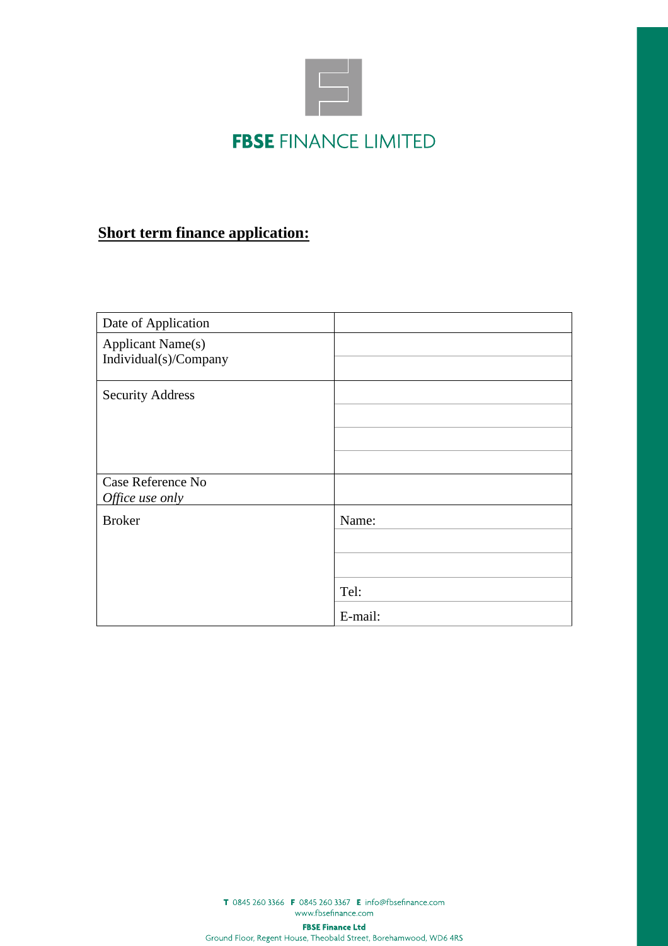

## **Short term finance application:**

| Date of Application                               |                          |
|---------------------------------------------------|--------------------------|
| <b>Applicant Name(s)</b><br>Individual(s)/Company |                          |
| <b>Security Address</b>                           |                          |
| Case Reference No<br>Office use only              |                          |
| <b>Broker</b>                                     | Name:<br>Tel:<br>E-mail: |

T 0845 260 3366 F 0845 260 3367 E info@fbsefinance.com www.fbsefinance.com

**FBSE Finance Ltd**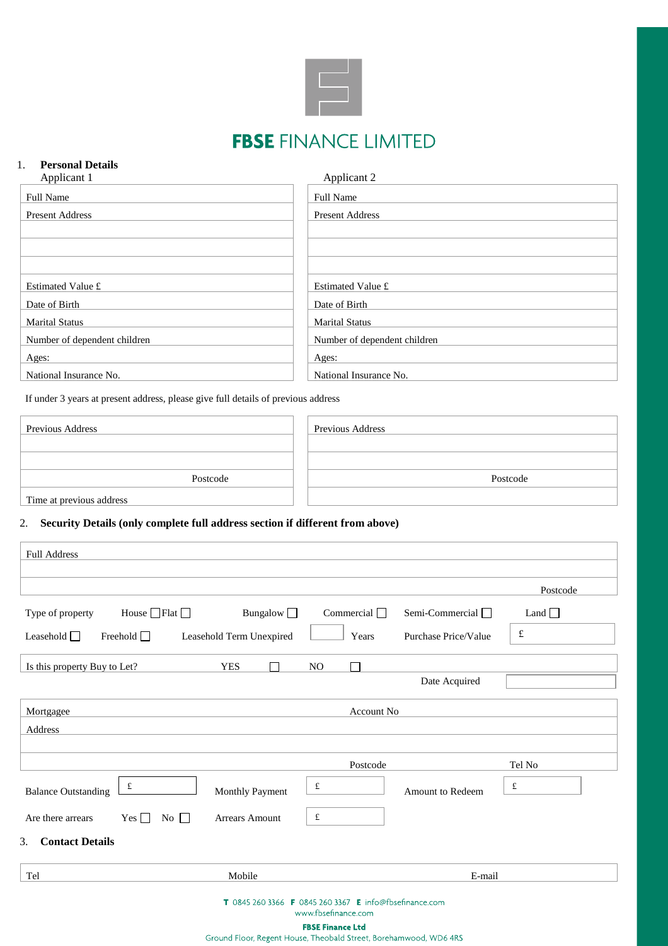

# **FBSE FINANCE LIMITED**

## 1. **Personal Details**

| Applicant 1                  | Applicant 2                  |
|------------------------------|------------------------------|
| Full Name                    | Full Name                    |
| <b>Present Address</b>       | <b>Present Address</b>       |
|                              |                              |
|                              |                              |
|                              |                              |
| Estimated Value £            | Estimated Value £            |
| Date of Birth                | Date of Birth                |
| <b>Marital Status</b>        | <b>Marital Status</b>        |
| Number of dependent children | Number of dependent children |
| Ages:                        | Ages:                        |
| National Insurance No.       | National Insurance No.       |

If under 3 years at present address, please give full details of previous address

| Previous Address         | Previous Address |
|--------------------------|------------------|
|                          |                  |
|                          |                  |
| Postcode                 | Postcode         |
| Time at previous address |                  |

### 2. **Security Details (only complete full address section if different from above)**

|                                         |                          |                          |                   |                         | Postcode    |
|-----------------------------------------|--------------------------|--------------------------|-------------------|-------------------------|-------------|
| Type of property                        | House $\Box$ Flat $\Box$ | Bungalow $\Box$          | Commercial $\Box$ | Semi-Commercial $\Box$  | Land $\Box$ |
| Leasehold $\Box$                        | Freehold $\Box$          | Leasehold Term Unexpired | Years             | Purchase Price/Value    | $\pounds$   |
| Is this property Buy to Let?            |                          | <b>YES</b>               | NO                |                         |             |
|                                         |                          |                          |                   | Date Acquired           |             |
| Mortgagee                               |                          |                          | <b>Account No</b> |                         |             |
| Address                                 |                          |                          |                   |                         |             |
|                                         |                          |                          | Postcode          |                         | Tel No      |
| <b>Balance Outstanding</b>              | $\pounds$                | Monthly Payment          | £                 | <b>Amount to Redeem</b> | $\pounds$   |
| Are there arrears                       | $Yes \Box$<br>No $\Box$  | <b>Arrears Amount</b>    | £                 |                         |             |
| <b>Contact Details</b><br>$\mathcal{F}$ |                          |                          |                   |                         |             |
| Tel                                     |                          | Mobile                   |                   | E-mail                  |             |

**FBSE Finance Ltd**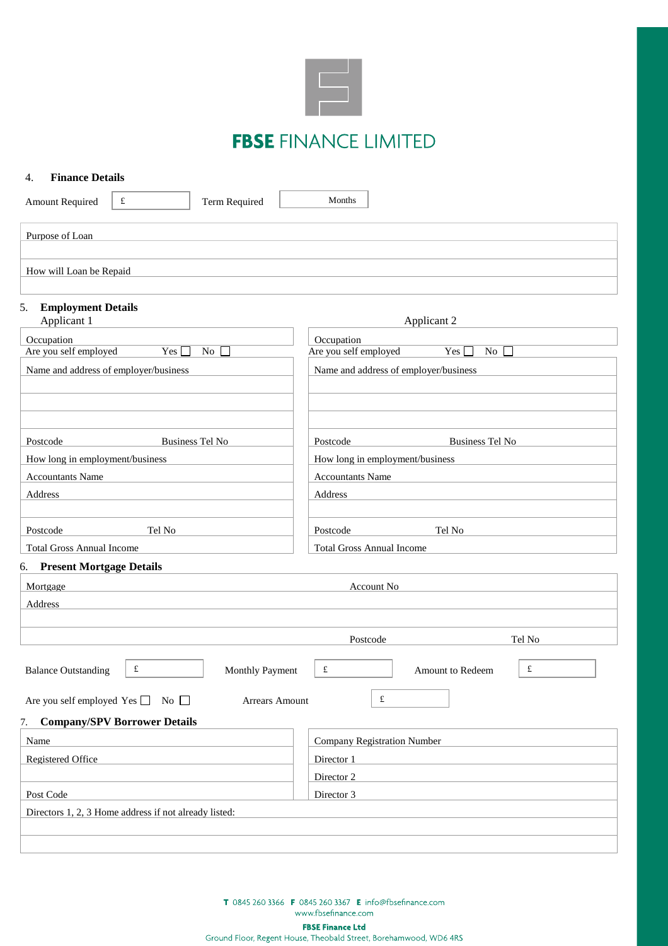

# **FBSE FINANCE LIMITED**

| <b>Finance Details</b><br>4.                   |                                                       |                        |                                  |                                       |                  |
|------------------------------------------------|-------------------------------------------------------|------------------------|----------------------------------|---------------------------------------|------------------|
| <b>Amount Required</b>                         | $\pounds$                                             | Term Required          | Months                           |                                       |                  |
| Purpose of Loan                                |                                                       |                        |                                  |                                       |                  |
|                                                |                                                       |                        |                                  |                                       |                  |
| How will Loan be Repaid                        |                                                       |                        |                                  |                                       |                  |
| <b>Employment Details</b><br>5.<br>Applicant 1 |                                                       |                        |                                  | Applicant 2                           |                  |
| Occupation                                     |                                                       |                        | Occupation                       |                                       |                  |
| Are you self employed                          | Yes                                                   | No<br>$\Box$           | Are you self employed            | Yes [                                 | $\overline{N_0}$ |
|                                                | Name and address of employer/business                 |                        |                                  | Name and address of employer/business |                  |
|                                                |                                                       |                        |                                  |                                       |                  |
|                                                |                                                       |                        |                                  |                                       |                  |
|                                                |                                                       |                        |                                  |                                       |                  |
| Postcode                                       |                                                       | <b>Business Tel No</b> | Postcode                         | <b>Business Tel No</b>                |                  |
| How long in employment/business                |                                                       |                        |                                  | How long in employment/business       |                  |
| <b>Accountants Name</b>                        |                                                       |                        | <b>Accountants Name</b>          |                                       |                  |
| Address                                        |                                                       |                        | Address                          |                                       |                  |
|                                                |                                                       |                        |                                  |                                       |                  |
| Postcode                                       | Tel No                                                |                        | Postcode                         | Tel No                                |                  |
| <b>Total Gross Annual Income</b>               |                                                       |                        | <b>Total Gross Annual Income</b> |                                       |                  |
| 6. Present Mortgage Details                    |                                                       |                        |                                  |                                       |                  |
| Mortgage                                       | Account No                                            |                        |                                  |                                       |                  |
| Address                                        |                                                       |                        |                                  |                                       |                  |
|                                                |                                                       |                        |                                  |                                       |                  |
|                                                |                                                       |                        | Postcode                         |                                       | Tel No           |
| <b>Balance Outstanding</b>                     | £                                                     | Monthly Payment        | £                                | <b>Amount to Redeem</b>               | £                |
|                                                | Are you self employed Yes $\Box$ No $\Box$            | Arrears Amount         |                                  | $\pounds$                             |                  |
| 7.                                             | <b>Company/SPV Borrower Details</b>                   |                        |                                  |                                       |                  |
| Name                                           |                                                       |                        |                                  | <b>Company Registration Number</b>    |                  |
| Registered Office                              |                                                       |                        | Director 1                       |                                       |                  |
|                                                |                                                       |                        | Director 2                       |                                       |                  |
| Post Code                                      |                                                       | Director 3             |                                  |                                       |                  |
|                                                | Directors 1, 2, 3 Home address if not already listed: |                        |                                  |                                       |                  |
|                                                |                                                       |                        |                                  |                                       |                  |
|                                                |                                                       |                        |                                  |                                       |                  |

T 0845 260 3366 F 0845 260 3367 E info@fbsefinance.com www.fbsefinance.com

**FBSE Finance Ltd**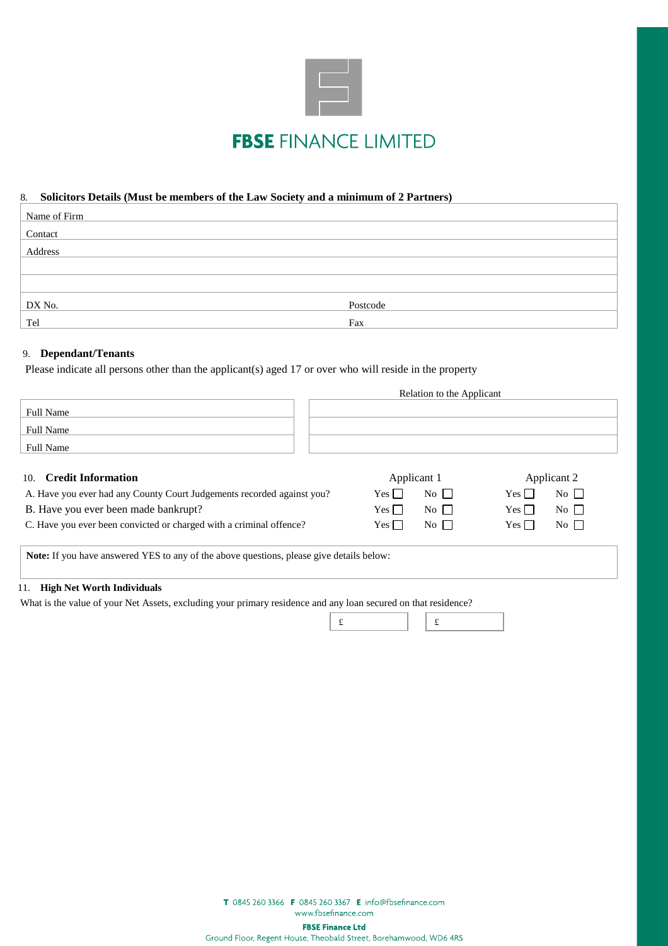

### 8. **Solicitors Details (Must be members of the Law Society and a minimum of 2 Partners)**

| Name of Firm |          |
|--------------|----------|
| Contact      |          |
| Address      |          |
|              |          |
|              |          |
| DX No.       | Postcode |
| Tel          | Fax      |

### 9. **Dependant/Tenants**

Please indicate all persons other than the applicant(s) aged 17 or over who will reside in the property

|                  | Relation to the Applicant |  |
|------------------|---------------------------|--|
| <b>Full Name</b> |                           |  |
| <b>Full Name</b> |                           |  |
| <b>Full Name</b> |                           |  |
|                  |                           |  |

| 10. Credit Information                                                 | Applicant 1                         | Applicant 2                           |
|------------------------------------------------------------------------|-------------------------------------|---------------------------------------|
| A. Have you ever had any County Court Judgements recorded against you? | $No \Box$<br>$Yes \Box$             | $Yes \Box$<br>$No \Box$               |
| B. Have you ever been made bankrupt?                                   | $No$ $\Box$<br>$Yes \Box$           | $Yes \Box$<br>$No$ $\Box$             |
| C. Have you ever been convicted or charged with a criminal offence?    | $\overline{N_0}$<br>$Yes \mid \mid$ | $Yes \mid \mid$<br>$\overline{N_{0}}$ |
|                                                                        |                                     |                                       |

**Note:** If you have answered YES to any of the above questions, please give details below:

#### 11. **High Net Worth Individuals**

What is the value of your Net Assets, excluding your primary residence and any loan secured on that residence?

T 0845 260 3366 F 0845 260 3367 E info@fbsefinance.com www.fbsefinance.com

**FBSE Finance Ltd**